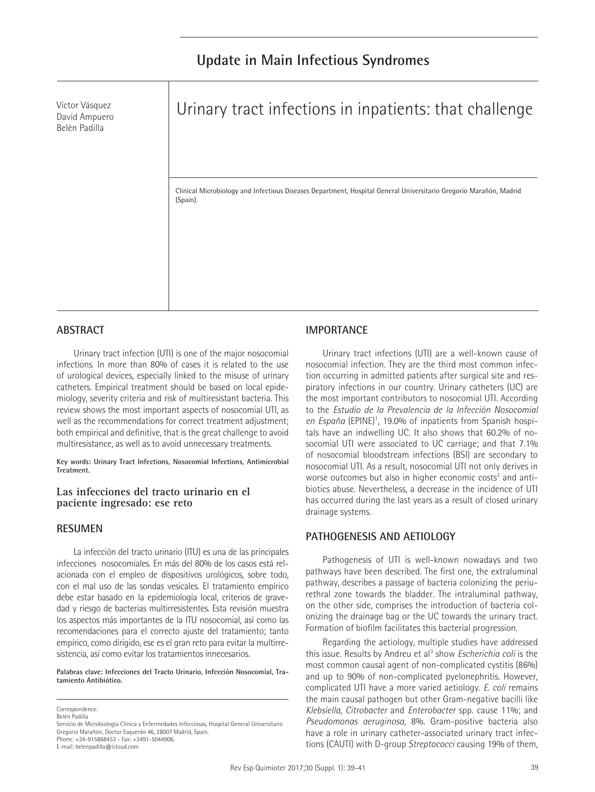# **Update in Main Infectious Syndromes**

Víctor Vásquez David Ampuero Belén Padilla

Urinary tract infections in inpatients: that challenge

Clinical Microbiology and Infectious Diseases Department, Hospital General Universitario Gregorio Marañón, Madrid (Spain).

# **ABSTRACT**

Urinary tract infection (UTI) is one of the major nosocomial infections. In more than 80% of cases it is related to the use of urological devices, especially linked to the misuse of urinary catheters. Empirical treatment should be based on local epidemiology, severity criteria and risk of multiresistant bacteria. This review shows the most important aspects of nosocomial UTI, as well as the recommendations for correct treatment adjustment; both empirical and definitive, that is the great challenge to avoid multiresistance, as well as to avoid unnecessary treatments.

**Key words: Urinary Tract Infections, Nosocomial Infections, Antimicrobial Treatment.**

# **Las infecciones del tracto urinario en el paciente ingresado: ese reto**

# **RESUMEN**

La infección del tracto urinario (ITU) es una de las principales infecciones nosocomiales. En más del 80% de los casos está relacionada con el empleo de dispositivos urológicos, sobre todo, con el mal uso de las sondas vesicales. El tratamiento empírico debe estar basado en la epidemiología local, criterios de gravedad y riesgo de bacterias multirresistentes. Esta revisión muestra los aspectos más importantes de la ITU nosocomial, así como las recomendaciones para el correcto ajuste del tratamiento; tanto empírico, como dirigido, ese es el gran reto para evitar la multirresistencia, así como evitar los tratamientos innecesarios.

**Palabras clave: Infecciones del Tracto Urinario, Infección Nosocomial, Tratamiento Antibiótico.**

Correspondence:

# **IMPORTANCE**

Urinary tract infections (UTI) are a well-known cause of nosocomial infection. They are the third most common infection occurring in admitted patients after surgical site and respiratory infections in our country. Urinary catheters (UC) are the most important contributors to nosocomial UTI. According to the *Estudio de la Prevalencia de la Infección Nosocomial*  en España (EPINE)<sup>1</sup>, 19.0% of inpatients from Spanish hospitals have an indwelling UC. It also shows that 60.2% of nosocomial UTI were associated to UC carriage; and that 7.1% of nosocomial bloodstream infections (BSI) are secondary to nosocomial UTI. As a result, nosocomial UTI not only derives in worse outcomes but also in higher economic costs<sup>2</sup> and antibiotics abuse. Nevertheless, a decrease in the incidence of UTI has occurred during the last years as a result of closed urinary drainage systems.

## **PATHOGENESIS AND AETIOLOGY**

Pathogenesis of UTI is well-known nowadays and two pathways have been described. The first one, the extraluminal pathway, describes a passage of bacteria colonizing the periurethral zone towards the bladder. The intraluminal pathway, on the other side, comprises the introduction of bacteria colonizing the drainage bag or the UC towards the urinary tract. Formation of biofilm facilitates this bacterial progression.

Regarding the aetiology, multiple studies have addressed this issue. Results by Andreu et al<sup>3</sup> show *Escherichia coli* is the most common causal agent of non-complicated cystitis (86%) and up to 90% of non-complicated pyelonephritis. However, complicated UTI have a more varied aetiology. *E. coli* remains the main causal pathogen but other Gram-negative bacilli like *Klebsiella*, *Citrobacter* and *Enterobacter* spp. cause 11%; and *Pseudomonas aeruginosa*, 8%. Gram-positive bacteria also have a role in urinary catheter-associated urinary tract infections (CAUTI) with D-group *Streptococci* causing 19% of them,

Belén Padilla

Servicio de Microbiología Clínica y Enfermedades Infecciosas, Hospital General Universitario Gregorio Marañón, Doctor Esquerdo 46, 28007 Madrid, Spain. Phone: +34-915868453 - Fax: +3491-5044906. E-mail: belenpadilla@icloud.com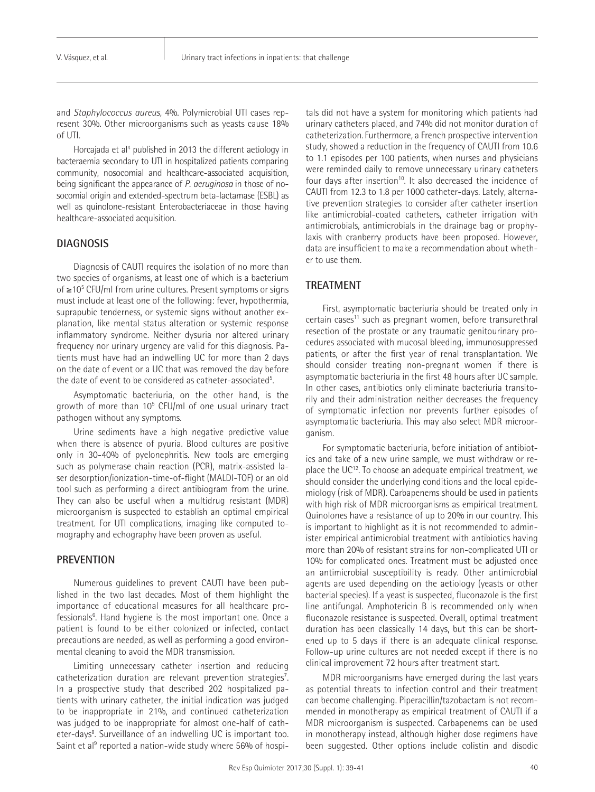and *Staphylococcus aureus*, 4%. Polymicrobial UTI cases represent 30%. Other microorganisms such as yeasts cause 18% of UTI.

Horcajada et al<sup>4</sup> published in 2013 the different aetiology in bacteraemia secondary to UTI in hospitalized patients comparing community, nosocomial and healthcare-associated acquisition, being significant the appearance of *P. aeruginosa* in those of nosocomial origin and extended-spectrum beta-lactamase (ESBL) as well as quinolone-resistant Enterobacteriaceae in those having healthcare-associated acquisition.

#### **DIAGNOSIS**

Diagnosis of CAUTI requires the isolation of no more than two species of organisms, at least one of which is a bacterium of ≥10<sup>5</sup> CFU/ml from urine cultures. Present symptoms or signs must include at least one of the following: fever, hypothermia, suprapubic tenderness, or systemic signs without another explanation, like mental status alteration or systemic response inflammatory syndrome. Neither dysuria nor altered urinary frequency nor urinary urgency are valid for this diagnosis. Patients must have had an indwelling UC for more than 2 days on the date of event or a UC that was removed the day before the date of event to be considered as catheter-associated<sup>5</sup>. .

Asymptomatic bacteriuria, on the other hand, is the growth of more than 10<sup>5</sup> CFU/ml of one usual urinary tract pathogen without any symptoms.

Urine sediments have a high negative predictive value when there is absence of pyuria. Blood cultures are positive only in 30-40% of pyelonephritis. New tools are emerging such as polymerase chain reaction (PCR), matrix-assisted laser desorption/ionization-time-of-flight (MALDI-TOF) or an old tool such as performing a direct antibiogram from the urine. They can also be useful when a multidrug resistant (MDR) microorganism is suspected to establish an optimal empirical treatment. For UTI complications, imaging like computed tomography and echography have been proven as useful.

## **PREVENTION**

Numerous guidelines to prevent CAUTI have been published in the two last decades. Most of them highlight the importance of educational measures for all healthcare professionals<sup>6</sup>. Hand hygiene is the most important one. Once a patient is found to be either colonized or infected, contact precautions are needed, as well as performing a good environmental cleaning to avoid the MDR transmission.

Limiting unnecessary catheter insertion and reducing catheterization duration are relevant prevention strategies<sup>7</sup>. In a prospective study that described 202 hospitalized patients with urinary catheter, the initial indication was judged to be inappropriate in 21%, and continued catheterization was judged to be inappropriate for almost one-half of catheter-days<sup>8</sup>. Surveillance of an indwelling UC is important too. Saint et al<sup>9</sup> reported a nation-wide study where 56% of hospi-

tals did not have a system for monitoring which patients had urinary catheters placed, and 74% did not monitor duration of catheterization.Furthermore, a French prospective intervention study, showed a reduction in the frequency of CAUTI from 10.6 to 1.1 episodes per 100 patients, when nurses and physicians were reminded daily to remove unnecessary urinary catheters four days after insertion<sup>10</sup>. It also decreased the incidence of CAUTI from 12.3 to 1.8 per 1000 catheter-days. Lately, alternative prevention strategies to consider after catheter insertion like antimicrobial-coated catheters, catheter irrigation with antimicrobials, antimicrobials in the drainage bag or prophylaxis with cranberry products have been proposed. However, data are insufficient to make a recommendation about whether to use them.

## **TREATMENT**

First, asymptomatic bacteriuria should be treated only in certain cases<sup>11</sup> such as pregnant women, before transurethral resection of the prostate or any traumatic genitourinary procedures associated with mucosal bleeding, immunosuppressed patients, or after the first year of renal transplantation. We should consider treating non-pregnant women if there is asymptomatic bacteriuria in the first 48 hours after UC sample. In other cases, antibiotics only eliminate bacteriuria transitorily and their administration neither decreases the frequency of symptomatic infection nor prevents further episodes of asymptomatic bacteriuria. This may also select MDR microorganism.

For symptomatic bacteriuria, before initiation of antibiotics and take of a new urine sample, we must withdraw or replace the UC<sup>12</sup>. To choose an adequate empirical treatment, we should consider the underlying conditions and the local epidemiology (risk of MDR). Carbapenems should be used in patients with high risk of MDR microorganisms as empirical treatment. Quinolones have a resistance of up to 20% in our country. This is important to highlight as it is not recommended to administer empirical antimicrobial treatment with antibiotics having more than 20% of resistant strains for non-complicated UTI or 10% for complicated ones. Treatment must be adjusted once an antimicrobial susceptibility is ready. Other antimicrobial agents are used depending on the aetiology (yeasts or other bacterial species). If a yeast is suspected, fluconazole is the first line antifungal. Amphotericin B is recommended only when fluconazole resistance is suspected. Overall, optimal treatment duration has been classically 14 days, but this can be shortened up to 5 days if there is an adequate clinical response. Follow-up urine cultures are not needed except if there is no clinical improvement 72 hours after treatment start.

MDR microorganisms have emerged during the last years as potential threats to infection control and their treatment can become challenging. Piperacillin/tazobactam is not recommended in monotherapy as empirical treatment of CAUTI if a MDR microorganism is suspected. Carbapenems can be used in monotherapy instead, although higher dose regimens have been suggested. Other options include colistin and disodic